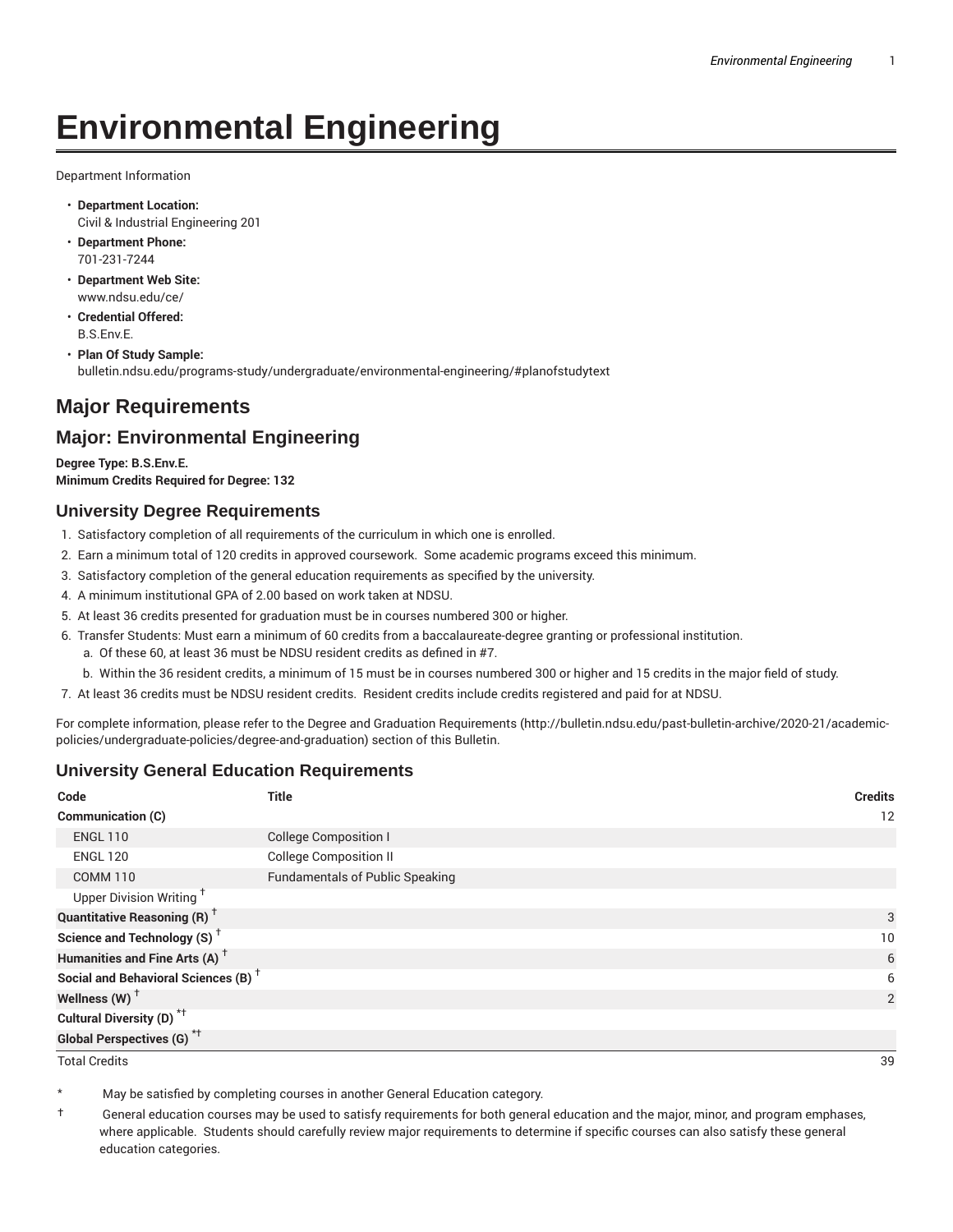# **Environmental Engineering**

Department Information

- **Department Location:** Civil & Industrial Engineering 201
- **Department Phone:** 701-231-7244
- **Department Web Site:** www.ndsu.edu/ce/
- **Credential Offered:** B.S.Env.E.
- **Plan Of Study Sample:** bulletin.ndsu.edu/programs-study/undergraduate/environmental-engineering/#planofstudytext

## **Major Requirements**

### **Major: Environmental Engineering**

**Degree Type: B.S.Env.E. Minimum Credits Required for Degree: 132**

#### **University Degree Requirements**

- 1. Satisfactory completion of all requirements of the curriculum in which one is enrolled.
- 2. Earn a minimum total of 120 credits in approved coursework. Some academic programs exceed this minimum.
- 3. Satisfactory completion of the general education requirements as specified by the university.
- 4. A minimum institutional GPA of 2.00 based on work taken at NDSU.
- 5. At least 36 credits presented for graduation must be in courses numbered 300 or higher.
- 6. Transfer Students: Must earn a minimum of 60 credits from a baccalaureate-degree granting or professional institution.
	- a. Of these 60, at least 36 must be NDSU resident credits as defined in #7.
	- b. Within the 36 resident credits, a minimum of 15 must be in courses numbered 300 or higher and 15 credits in the major field of study.
- 7. At least 36 credits must be NDSU resident credits. Resident credits include credits registered and paid for at NDSU.

For complete information, please refer to the Degree and Graduation Requirements (http://bulletin.ndsu.edu/past-bulletin-archive/2020-21/academicpolicies/undergraduate-policies/degree-and-graduation) section of this Bulletin.

#### **University General Education Requirements**

| Code                                            | <b>Title</b>                           | <b>Credits</b> |
|-------------------------------------------------|----------------------------------------|----------------|
| Communication (C)                               |                                        | 12             |
| <b>ENGL 110</b>                                 | <b>College Composition I</b>           |                |
| <b>ENGL 120</b>                                 | <b>College Composition II</b>          |                |
| <b>COMM 110</b>                                 | <b>Fundamentals of Public Speaking</b> |                |
| Upper Division Writing <sup>+</sup>             |                                        |                |
| <b>Quantitative Reasoning (R)</b> <sup>†</sup>  |                                        | 3              |
| Science and Technology (S) <sup>+</sup>         |                                        | 10             |
| Humanities and Fine Arts (A) <sup>+</sup>       |                                        | 6              |
| Social and Behavioral Sciences (B) <sup>+</sup> |                                        | 6              |
| Wellness $(W)$ <sup>+</sup>                     |                                        | 2              |
| Cultural Diversity (D) <sup>*†</sup>            |                                        |                |
| <b>Global Perspectives (G)<sup>*†</sup></b>     |                                        |                |

Total Credits 39

May be satisfied by completing courses in another General Education category.

† General education courses may be used to satisfy requirements for both general education and the major, minor, and program emphases, where applicable. Students should carefully review major requirements to determine if specific courses can also satisfy these general education categories.